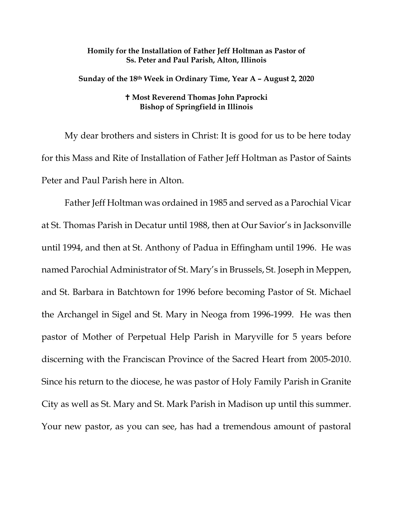## **Homily for the Installation of Father Jeff Holtman as Pastor of Ss. Peter and Paul Parish, Alton, Illinois**

**Sunday of the 18th Week in Ordinary Time, Year A – August 2, 2020**

## **Most Reverend Thomas John Paprocki Bishop of Springfield in Illinois**

My dear brothers and sisters in Christ: It is good for us to be here today for this Mass and Rite of Installation of Father Jeff Holtman as Pastor of Saints Peter and Paul Parish here in Alton.

Father Jeff Holtman was ordained in 1985 and served as a Parochial Vicar at St. Thomas Parish in Decatur until 1988, then at Our Savior's in Jacksonville until 1994, and then at St. Anthony of Padua in Effingham until 1996. He was named Parochial Administrator of St. Mary's in Brussels, St. Joseph in Meppen, and St. Barbara in Batchtown for 1996 before becoming Pastor of St. Michael the Archangel in Sigel and St. Mary in Neoga from 1996-1999. He was then pastor of Mother of Perpetual Help Parish in Maryville for 5 years before discerning with the Franciscan Province of the Sacred Heart from 2005-2010. Since his return to the diocese, he was pastor of Holy Family Parish in Granite City as well as St. Mary and St. Mark Parish in Madison up until this summer. Your new pastor, as you can see, has had a tremendous amount of pastoral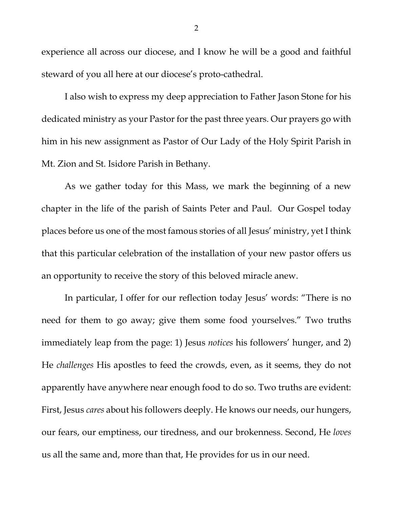experience all across our diocese, and I know he will be a good and faithful steward of you all here at our diocese's proto-cathedral.

I also wish to express my deep appreciation to Father Jason Stone for his dedicated ministry as your Pastor for the past three years. Our prayers go with him in his new assignment as Pastor of Our Lady of the Holy Spirit Parish in Mt. Zion and St. Isidore Parish in Bethany.

As we gather today for this Mass, we mark the beginning of a new chapter in the life of the parish of Saints Peter and Paul. Our Gospel today places before us one of the most famous stories of all Jesus' ministry, yet I think that this particular celebration of the installation of your new pastor offers us an opportunity to receive the story of this beloved miracle anew.

In particular, I offer for our reflection today Jesus' words: "There is no need for them to go away; give them some food yourselves." Two truths immediately leap from the page: 1) Jesus *notices* his followers' hunger, and 2) He *challenges* His apostles to feed the crowds, even, as it seems, they do not apparently have anywhere near enough food to do so. Two truths are evident: First, Jesus *cares* about his followers deeply. He knows our needs, our hungers, our fears, our emptiness, our tiredness, and our brokenness. Second, He *loves* us all the same and, more than that, He provides for us in our need.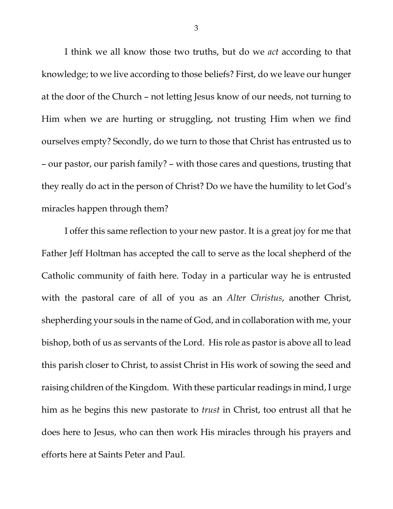I think we all know those two truths, but do we *act* according to that knowledge; to we live according to those beliefs? First, do we leave our hunger at the door of the Church – not letting Jesus know of our needs, not turning to Him when we are hurting or struggling, not trusting Him when we find ourselves empty? Secondly, do we turn to those that Christ has entrusted us to – our pastor, our parish family? – with those cares and questions, trusting that they really do act in the person of Christ? Do we have the humility to let God's miracles happen through them?

I offer this same reflection to your new pastor. It is a great joy for me that Father Jeff Holtman has accepted the call to serve as the local shepherd of the Catholic community of faith here. Today in a particular way he is entrusted with the pastoral care of all of you as an *Alter Christus*, another Christ, shepherding your souls in the name of God, and in collaboration with me, your bishop, both of us as servants of the Lord. His role as pastor is above all to lead this parish closer to Christ, to assist Christ in His work of sowing the seed and raising children of the Kingdom. With these particular readings in mind, I urge him as he begins this new pastorate to *trust* in Christ, too entrust all that he does here to Jesus, who can then work His miracles through his prayers and efforts here at Saints Peter and Paul.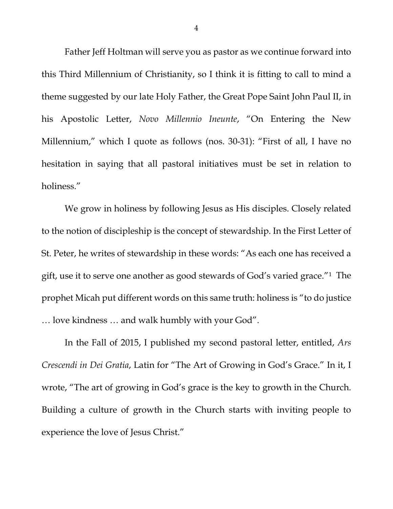Father Jeff Holtman will serve you as pastor as we continue forward into this Third Millennium of Christianity, so I think it is fitting to call to mind a theme suggested by our late Holy Father, the Great Pope Saint John Paul II, in his Apostolic Letter, *Novo Millennio Ineunte*, "On Entering the New Millennium," which I quote as follows (nos. 30-31): "First of all, I have no hesitation in saying that all pastoral initiatives must be set in relation to holiness."

We grow in holiness by following Jesus as His disciples. Closely related to the notion of discipleship is the concept of stewardship. In the First Letter of St. Peter, he writes of stewardship in these words: "As each one has received a gift, use it to serve one another as good stewards of God's varied grace."[1](#page-6-0) The prophet Micah put different words on this same truth: holiness is "to do justice … love kindness … and walk humbly with your God".

In the Fall of 2015, I published my second pastoral letter, entitled, *Ars Crescendi in Dei Gratia*, Latin for "The Art of Growing in God's Grace." In it, I wrote, "The art of growing in God's grace is the key to growth in the Church. Building a culture of growth in the Church starts with inviting people to experience the love of Jesus Christ."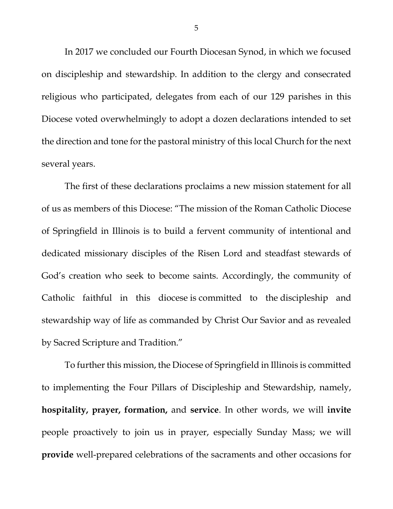In 2017 we concluded our Fourth Diocesan Synod, in which we focused on discipleship and stewardship. In addition to the clergy and consecrated religious who participated, delegates from each of our 129 parishes in this Diocese voted overwhelmingly to adopt a dozen declarations intended to set the direction and tone for the pastoral ministry of this local Church for the next several years.

The first of these declarations proclaims a new mission statement for all of us as members of this Diocese: "The mission of the Roman Catholic Diocese of Springfield in Illinois is to build a fervent community of intentional and dedicated missionary disciples of the Risen Lord and steadfast stewards of God's creation who seek to become saints. Accordingly, the community of Catholic faithful in this diocese is committed to the discipleship and stewardship way of life as commanded by Christ Our Savior and as revealed by Sacred Scripture and Tradition."

To further this mission, the Diocese of Springfield in Illinois is committed to implementing the Four Pillars of Discipleship and Stewardship, namely, **hospitality, prayer, formation,** and **service**. In other words, we will **invite** people proactively to join us in prayer, especially Sunday Mass; we will **provide** well-prepared celebrations of the sacraments and other occasions for

5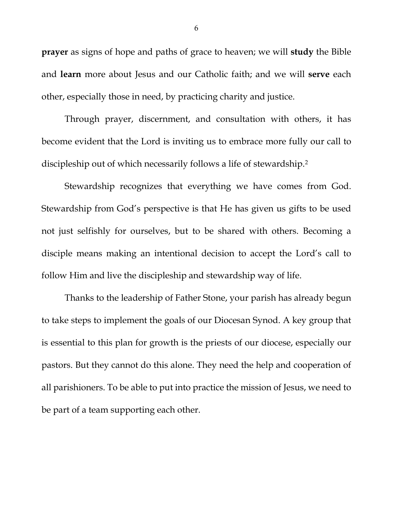**prayer** as signs of hope and paths of grace to heaven; we will **study** the Bible and **learn** more about Jesus and our Catholic faith; and we will **serve** each other, especially those in need, by practicing charity and justice.

Through prayer, discernment, and consultation with others, it has become evident that the Lord is inviting us to embrace more fully our call to discipleship out of which necessarily follows a life of stewardship[.2](#page-6-1)

Stewardship recognizes that everything we have comes from God. Stewardship from God's perspective is that He has given us gifts to be used not just selfishly for ourselves, but to be shared with others. Becoming a disciple means making an intentional decision to accept the Lord's call to follow Him and live the discipleship and stewardship way of life.

Thanks to the leadership of Father Stone, your parish has already begun to take steps to implement the goals of our Diocesan Synod. A key group that is essential to this plan for growth is the priests of our diocese, especially our pastors. But they cannot do this alone. They need the help and cooperation of all parishioners. To be able to put into practice the mission of Jesus, we need to be part of a team supporting each other.